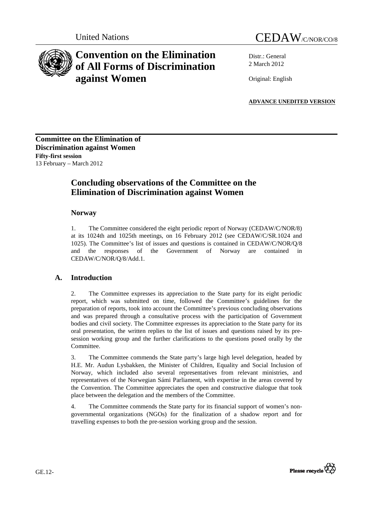



# **Convention on the Elimination of All Forms of Discrimination against Women**

Distr.: General 2 March 2012

Original: English

**ADVANCE UNEDITED VERSION**

**Committee on the Elimination of Discrimination against Women Fifty-first session**  13 February – March 2012

## **Concluding observations of the Committee on the Elimination of Discrimination against Women**

## **Norway**

1. The Committee considered the eight periodic report of Norway (CEDAW/C/NOR/8) at its 1024th and 1025th meetings, on 16 February 2012 (see CEDAW/C/SR.1024 and 1025). The Committee's list of issues and questions is contained in CEDAW/C/NOR/Q/8 and the responses of the Government of Norway are contained in CEDAW/C/NOR/Q/8/Add.1.

## **A. Introduction**

2. The Committee expresses its appreciation to the State party for its eight periodic report, which was submitted on time, followed the Committee's guidelines for the preparation of reports, took into account the Committee's previous concluding observations and was prepared through a consultative process with the participation of Government bodies and civil society. The Committee expresses its appreciation to the State party for its oral presentation, the written replies to the list of issues and questions raised by its presession working group and the further clarifications to the questions posed orally by the Committee.

3. The Committee commends the State party's large high level delegation, headed by H.E. Mr. Audun Lysbakken, the Minister of Children, Equality and Social Inclusion of Norway, which included also several representatives from relevant ministries, and representatives of the Norwegian Sámi Parliament, with expertise in the areas covered by the Convention. The Committee appreciates the open and constructive dialogue that took place between the delegation and the members of the Committee.

4. The Committee commends the State party for its financial support of women's nongovernmental organizations (NGOs) for the finalization of a shadow report and for travelling expenses to both the pre-session working group and the session.

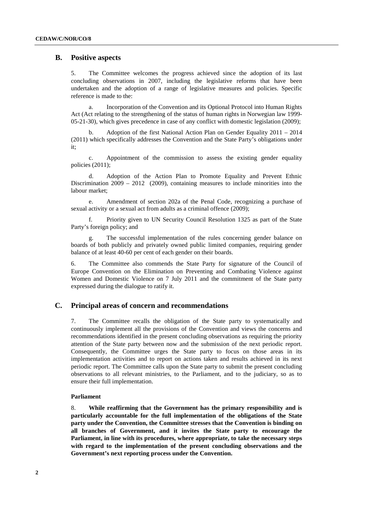## **B. Positive aspects**

5. The Committee welcomes the progress achieved since the adoption of its last concluding observations in 2007, including the legislative reforms that have been undertaken and the adoption of a range of legislative measures and policies. Specific reference is made to the:

a. Incorporation of the Convention and its Optional Protocol into Human Rights Act (Act relating to the strengthening of the status of human rights in Norwegian law 1999- 05-21-30), which gives precedence in case of any conflict with domestic legislation (2009);

b. Adoption of the first National Action Plan on Gender Equality 2011 – 2014 (2011) which specifically addresses the Convention and the State Party's obligations under it;

c. Appointment of the commission to assess the existing gender equality policies (2011);

d. Adoption of the Action Plan to Promote Equality and Prevent Ethnic Discrimination  $2009 - 2012$  (2009), containing measures to include minorities into the labour market;

e. Amendment of section 202a of the Penal Code, recognizing a purchase of sexual activity or a sexual act from adults as a criminal offence (2009);

f. Priority given to UN Security Council Resolution 1325 as part of the State Party's foreign policy; and

The successful implementation of the rules concerning gender balance on boards of both publicly and privately owned public limited companies, requiring gender balance of at least 40-60 per cent of each gender on their boards.

6. The Committee also commends the State Party for signature of the Council of Europe Convention on the Elimination on Preventing and Combating Violence against Women and Domestic Violence on 7 July 2011 and the commitment of the State party expressed during the dialogue to ratify it.

## **C. Principal areas of concern and recommendations**

7. The Committee recalls the obligation of the State party to systematically and continuously implement all the provisions of the Convention and views the concerns and recommendations identified in the present concluding observations as requiring the priority attention of the State party between now and the submission of the next periodic report. Consequently, the Committee urges the State party to focus on those areas in its implementation activities and to report on actions taken and results achieved in its next periodic report. The Committee calls upon the State party to submit the present concluding observations to all relevant ministries, to the Parliament, and to the judiciary, so as to ensure their full implementation.

#### **Parliament**

8. **While reaffirming that the Government has the primary responsibility and is particularly accountable for the full implementation of the obligations of the State party under the Convention, the Committee stresses that the Convention is binding on all branches of Government, and it invites the State party to encourage the Parliament, in line with its procedures, where appropriate, to take the necessary steps with regard to the implementation of the present concluding observations and the Government's next reporting process under the Convention.**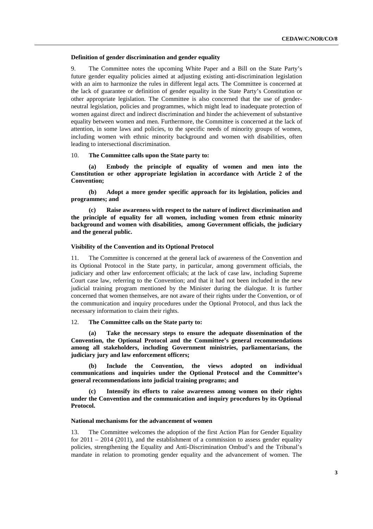#### **Definition of gender discrimination and gender equality**

9. The Committee notes the upcoming White Paper and a Bill on the State Party's future gender equality policies aimed at adjusting existing anti-discrimination legislation with an aim to harmonize the rules in different legal acts. The Committee is concerned at the lack of guarantee or definition of gender equality in the State Party's Constitution or other appropriate legislation. The Committee is also concerned that the use of genderneutral legislation, policies and programmes, which might lead to inadequate protection of women against direct and indirect discrimination and hinder the achievement of substantive equality between women and men. Furthermore, the Committee is concerned at the lack of attention, in some laws and policies, to the specific needs of minority groups of women, including women with ethnic minority background and women with disabilities, often leading to intersectional discrimination.

10. **The Committee calls upon the State party to:** 

**(a) Embody the principle of equality of women and men into the Constitution or other appropriate legislation in accordance with Article 2 of the Convention;** 

**(b) Adopt a more gender specific approach for its legislation, policies and programmes; and** 

**(c) Raise awareness with respect to the nature of indirect discrimination and the principle of equality for all women, including women from ethnic minority background and women with disabilities, among Government officials, the judiciary and the general public.** 

#### **Visibility of the Convention and its Optional Protocol**

11. The Committee is concerned at the general lack of awareness of the Convention and its Optional Protocol in the State party, in particular, among government officials, the judiciary and other law enforcement officials; at the lack of case law, including Supreme Court case law, referring to the Convention; and that it had not been included in the new judicial training program mentioned by the Minister during the dialogue. It is further concerned that women themselves, are not aware of their rights under the Convention, or of the communication and inquiry procedures under the Optional Protocol, and thus lack the necessary information to claim their rights.

#### 12. **The Committee calls on the State party to:**

**(a) Take the necessary steps to ensure the adequate dissemination of the Convention, the Optional Protocol and the Committee's general recommendations among all stakeholders, including Government ministries, parliamentarians, the judiciary jury and law enforcement officers;** 

**(b) Include the Convention, the views adopted on individual communications and inquiries under the Optional Protocol and the Committee's general recommendations into judicial training programs; and** 

**(c) Intensify its efforts to raise awareness among women on their rights under the Convention and the communication and inquiry procedures by its Optional Protocol.** 

#### **National mechanisms for the advancement of women**

13. The Committee welcomes the adoption of the first Action Plan for Gender Equality for  $2011 - 2014$  (2011), and the establishment of a commission to assess gender equality policies, strengthening the Equality and Anti-Discrimination Ombud's and the Tribunal's mandate in relation to promoting gender equality and the advancement of women. The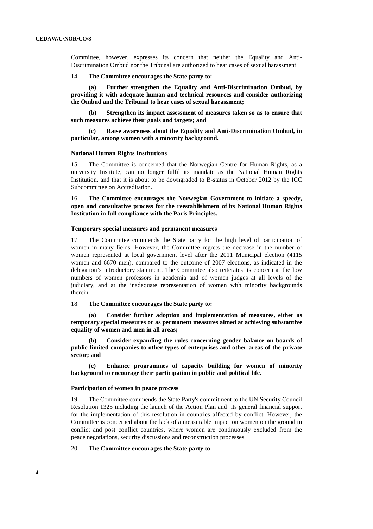Committee, however, expresses its concern that neither the Equality and Anti-Discrimination Ombud nor the Tribunal are authorized to hear cases of sexual harassment.

#### 14. **The Committee encourages the State party to:**

**(a) Further strengthen the Equality and Anti-Discrimination Ombud, by providing it with adequate human and technical resources and consider authorizing the Ombud and the Tribunal to hear cases of sexual harassment;** 

**(b) Strengthen its impact assessment of measures taken so as to ensure that such measures achieve their goals and targets; and** 

**(c) Raise awareness about the Equality and Anti-Discrimination Ombud, in particular, among women with a minority background.**

#### **National Human Rights Institutions**

15. The Committee is concerned that the Norwegian Centre for Human Rights, as a university Institute, can no longer fulfil its mandate as the National Human Rights Institution, and that it is about to be downgraded to B-status in October 2012 by the ICC Subcommittee on Accreditation.

16. **The Committee encourages the Norwegian Government to initiate a speedy, open and consultative process for the reestablishment of its National Human Rights Institution in full compliance with the Paris Principles.** 

#### **Temporary special measures and permanent measures**

17. The Committee commends the State party for the high level of participation of women in many fields. However, the Committee regrets the decrease in the number of women represented at local government level after the 2011 Municipal election (4115 women and 6670 men), compared to the outcome of 2007 elections, as indicated in the delegation's introductory statement. The Committee also reiterates its concern at the low numbers of women professors in academia and of women judges at all levels of the judiciary, and at the inadequate representation of women with minority backgrounds therein.

#### 18. **The Committee encourages the State party to:**

**(a) Consider further adoption and implementation of measures, either as temporary special measures or as permanent measures aimed at achieving substantive equality of women and men in all areas;** 

**(b) Consider expanding the rules concerning gender balance on boards of public limited companies to other types of enterprises and other areas of the private sector; and** 

**(c) Enhance programmes of capacity building for women of minority background to encourage their participation in public and political life.** 

#### **Participation of women in peace process**

19. The Committee commends the State Party's commitment to the UN Security Council Resolution 1325 including the launch of the Action Plan and its general financial support for the implementation of this resolution in countries affected by conflict. However, the Committee is concerned about the lack of a measurable impact on women on the ground in conflict and post conflict countries, where women are continuously excluded from the peace negotiations, security discussions and reconstruction processes.

#### 20. **The Committee encourages the State party to**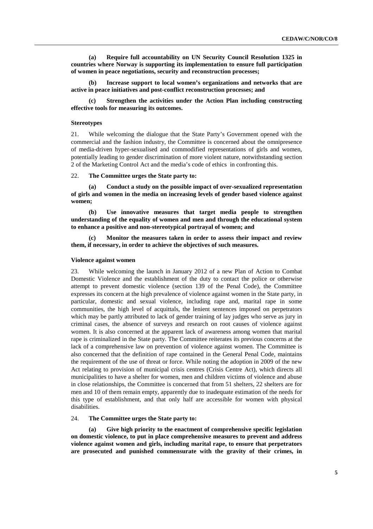**(a) Require full accountability on UN Security Council Resolution 1325 in countries where Norway is supporting its implementation to ensure full participation of women in peace negotiations, security and reconstruction processes;** 

**(b) Increase support to local women's organizations and networks that are active in peace initiatives and post-conflict reconstruction processes; and** 

**(c) Strengthen the activities under the Action Plan including constructing effective tools for measuring its outcomes.** 

#### **Stereotypes**

21. While welcoming the dialogue that the State Party's Government opened with the commercial and the fashion industry, the Committee is concerned about the omnipresence of media-driven hyper-sexualised and commodified representations of girls and women, potentially leading to gender discrimination of more violent nature, notwithstanding section 2 of the Marketing Control Act and the media's code of ethics in confronting this.

#### 22. **The Committee urges the State party to:**

**(a) Conduct a study on the possible impact of over-sexualized representation of girls and women in the media on increasing levels of gender based violence against women;** 

**(b) Use innovative measures that target media people to strengthen understanding of the equality of women and men and through the educational system to enhance a positive and non-stereotypical portrayal of women; and** 

**(c) Monitor the measures taken in order to assess their impact and review them, if necessary, in order to achieve the objectives of such measures.** 

#### **Violence against women**

23. While welcoming the launch in January 2012 of a new Plan of Action to Combat Domestic Violence and the establishment of the duty to contact the police or otherwise attempt to prevent domestic violence (section 139 of the Penal Code), the Committee expresses its concern at the high prevalence of violence against women in the State party, in particular, domestic and sexual violence, including rape and, marital rape in some communities, the high level of acquittals, the lenient sentences imposed on perpetrators which may be partly attributed to lack of gender training of lay judges who serve as jury in criminal cases, the absence of surveys and research on root causes of violence against women. It is also concerned at the apparent lack of awareness among women that marital rape is criminalized in the State party. The Committee reiterates its previous concerns at the lack of a comprehensive law on prevention of violence against women. The Committee is also concerned that the definition of rape contained in the General Penal Code, maintains the requirement of the use of threat or force. While noting the adoption in 2009 of the new Act relating to provision of municipal crisis centres (Crisis Centre Act), which directs all municipalities to have a shelter for women, men and children victims of violence and abuse in close relationships, the Committee is concerned that from 51 shelters, 22 shelters are for men and 10 of them remain empty, apparently due to inadequate estimation of the needs for this type of establishment, and that only half are accessible for women with physical disabilities.

## 24. **The Committee urges the State party to:**

**(a) Give high priority to the enactment of comprehensive specific legislation on domestic violence, to put in place comprehensive measures to prevent and address violence against women and girls, including marital rape, to ensure that perpetrators are prosecuted and punished commensurate with the gravity of their crimes, in**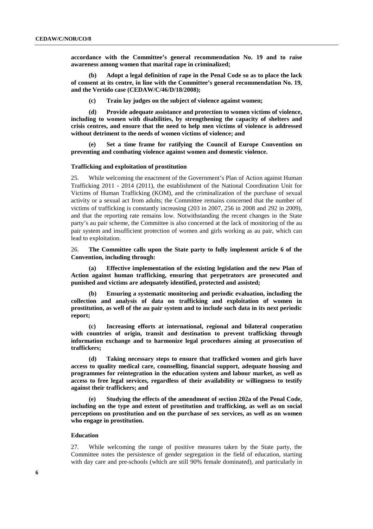**accordance with the Committee's general recommendation No. 19 and to raise awareness among women that marital rape in criminalized;** 

**(b) Adopt a legal definition of rape in the Penal Code so as to place the lack of consent at its centre, in line with the Committee's general recommendation No. 19, and the Vertido case (CEDAW/C/46/D/18/2008);** 

**(c) Train lay judges on the subject of violence against women;** 

**(d) Provide adequate assistance and protection to women victims of violence, including to women with disabilities, by strengthening the capacity of shelters and crisis centres, and ensure that the need to help men victims of violence is addressed without detriment to the needs of women victims of violence; and** 

Set a time frame for ratifying the Council of Europe Convention on **preventing and combating violence against women and domestic violence.** 

#### **Trafficking and exploitation of prostitution**

25. While welcoming the enactment of the Government's Plan of Action against Human Trafficking 2011 - 2014 (2011), the establishment of the National Coordination Unit for Victims of Human Trafficking (KOM), and the criminalization of the purchase of sexual activity or a sexual act from adults; the Committee remains concerned that the number of victims of trafficking is constantly increasing (203 in 2007, 256 in 2008 and 292 in 2009), and that the reporting rate remains low. Notwithstanding the recent changes in the State party's au pair scheme, the Committee is also concerned at the lack of monitoring of the au pair system and insufficient protection of women and girls working as au pair, which can lead to exploitation.

26. **The Committee calls upon the State party to fully implement article 6 of the Convention, including through:** 

**(a) Effective implementation of the existing legislation and the new Plan of Action against human trafficking, ensuring that perpetrators are prosecuted and punished and victims are adequately identified, protected and assisted;** 

**(b) Ensuring a systematic monitoring and periodic evaluation, including the collection and analysis of data on trafficking and exploitation of women in prostitution, as well of the au pair system and to include such data in its next periodic report;** 

**(c) Increasing efforts at international, regional and bilateral cooperation with countries of origin, transit and destination to prevent trafficking through information exchange and to harmonize legal procedures aiming at prosecution of traffickers;** 

**(d) Taking necessary steps to ensure that trafficked women and girls have access to quality medical care, counselling, financial support, adequate housing and programmes for reintegration in the education system and labour market, as well as access to free legal services, regardless of their availability or willingness to testify against their traffickers; and** 

**(e) Studying the effects of the amendment of section 202a of the Penal Code, including on the type and extent of prostitution and trafficking, as well as on social perceptions on prostitution and on the purchase of sex services, as well as on women who engage in prostitution.** 

#### **Education**

27. While welcoming the range of positive measures taken by the State party, the Committee notes the persistence of gender segregation in the field of education, starting with day care and pre-schools (which are still 90% female dominated), and particularly in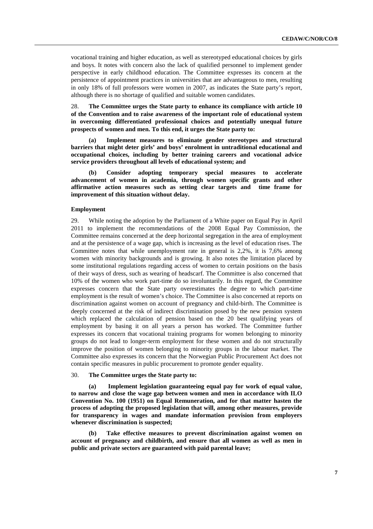vocational training and higher education, as well as stereotyped educational choices by girls and boys. It notes with concern also the lack of qualified personnel to implement gender perspective in early childhood education. The Committee expresses its concern at the persistence of appointment practices in universities that are advantageous to men, resulting in only 18% of full professors were women in 2007, as indicates the State party's report, although there is no shortage of qualified and suitable women candidates.

28. **The Committee urges the State party to enhance its compliance with article 10 of the Convention and to raise awareness of the important role of educational system in overcoming differentiated professional choices and potentially unequal future prospects of women and men. To this end, it urges the State party to:** 

**(a) Implement measures to eliminate gender stereotypes and structural barriers that might deter girls' and boys' enrolment in untraditional educational and occupational choices, including by better training careers and vocational advice service providers throughout all levels of educational system; and** 

**(b) Consider adopting temporary special measures to accelerate advancement of women in academia, through women specific grants and other affirmative action measures such as setting clear targets and time frame for improvement of this situation without delay.** 

#### **Employment**

29. While noting the adoption by the Parliament of a White paper on Equal Pay in April 2011 to implement the recommendations of the 2008 Equal Pay Commission, the Committee remains concerned at the deep horizontal segregation in the area of employment and at the persistence of a wage gap, which is increasing as the level of education rises. The Committee notes that while unemployment rate in general is 2,2%, it is 7,6% among women with minority backgrounds and is growing. It also notes the limitation placed by some institutional regulations regarding access of women to certain positions on the basis of their ways of dress, such as wearing of headscarf. The Committee is also concerned that 10% of the women who work part-time do so involuntarily. In this regard, the Committee expresses concern that the State party overestimates the degree to which part-time employment is the result of women's choice. The Committee is also concerned at reports on discrimination against women on account of pregnancy and child-birth. The Committee is deeply concerned at the risk of indirect discrimination posed by the new pension system which replaced the calculation of pension based on the 20 best qualifying years of employment by basing it on all years a person has worked. The Committee further expresses its concern that vocational training programs for women belonging to minority groups do not lead to longer-term employment for these women and do not structurally improve the position of women belonging to minority groups in the labour market. The Committee also expresses its concern that the Norwegian Public Procurement Act does not contain specific measures in public procurement to promote gender equality.

#### 30. **The Committee urges the State party to:**

**(a) Implement legislation guaranteeing equal pay for work of equal value, to narrow and close the wage gap between women and men in accordance with ILO Convention No. 100 (1951) on Equal Remuneration, and for that matter hasten the process of adopting the proposed legislation that will, among other measures, provide for transparency in wages and mandate information provision from employers whenever discrimination is suspected;** 

**(b) Take effective measures to prevent discrimination against women on account of pregnancy and childbirth, and ensure that all women as well as men in public and private sectors are guaranteed with paid parental leave;**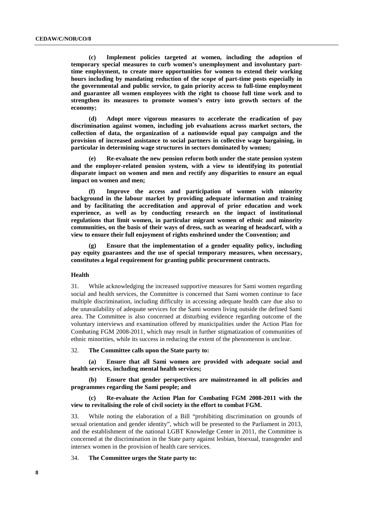**(c) Implement policies targeted at women, including the adoption of temporary special measures to curb women's unemployment and involuntary parttime employment, to create more opportunities for women to extend their working hours including by mandating reduction of the scope of part-time posts especially in the governmental and public service, to gain priority access to full-time employment and guarantee all women employees with the right to choose full time work and to strengthen its measures to promote women's entry into growth sectors of the economy;** 

**(d) Adopt more vigorous measures to accelerate the eradication of pay discrimination against women, including job evaluations across market sectors, the collection of data, the organization of a nationwide equal pay campaign and the provision of increased assistance to social partners in collective wage bargaining, in particular in determining wage structures in sectors dominated by women;** 

**(e) Re-evaluate the new pension reform both under the state pension system and the employer-related pension system, with a view to identifying its potential disparate impact on women and men and rectify any disparities to ensure an equal impact on women and men;** 

**(f) Improve the access and participation of women with minority background in the labour market by providing adequate information and training and by facilitating the accreditation and approval of prior education and work experience, as well as by conducting research on the impact of institutional regulations that limit women, in particular migrant women of ethnic and minority communities, on the basis of their ways of dress, such as wearing of headscarf, with a view to ensure their full enjoyment of rights enshrined under the Convention; and** 

**(g) Ensure that the implementation of a gender equality policy, including pay equity guarantees and the use of special temporary measures, when necessary, constitutes a legal requirement for granting public procurement contracts.** 

#### **Health**

31. While acknowledging the increased supportive measures for Sami women regarding social and health services, the Committee is concerned that Sami women continue to face multiple discrimination, including difficulty in accessing adequate health care due also to the unavailability of adequate services for the Sami women living outside the defined Sami area. The Committee is also concerned at disturbing evidence regarding outcome of the voluntary interviews and examination offered by municipalities under the Action Plan for Combating FGM 2008-2011, which may result in further stigmatization of communities of ethnic minorities, while its success in reducing the extent of the phenomenon is unclear.

#### 32. **The Committee calls upon the State party to:**

**(a) Ensure that all Sami women are provided with adequate social and health services, including mental health services;** 

**(b) Ensure that gender perspectives are mainstreamed in all policies and programmes regarding the Sami people; and** 

#### **(c) Re-evaluate the Action Plan for Combating FGM 2008-2011 with the view to revitalising the role of civil society in the effort to combat FGM.**

33. While noting the elaboration of a Bill "prohibiting discrimination on grounds of sexual orientation and gender identity", which will be presented to the Parliament in 2013, and the establishment of the national LGBT Knowledge Center in 2011, the Committee is concerned at the discrimination in the State party against lesbian, bisexual, transgender and intersex women in the provision of health care services.

34. **The Committee urges the State party to:**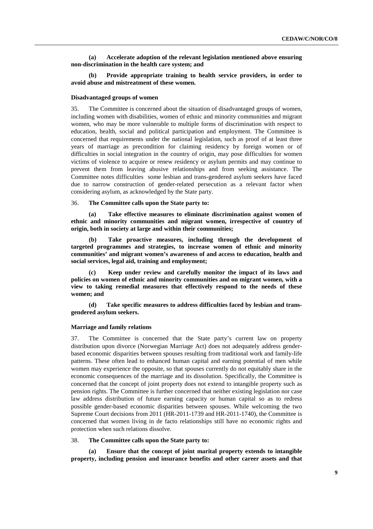**(a) Accelerate adoption of the relevant legislation mentioned above ensuring non-discrimination in the health care system; and** 

**(b) Provide appropriate training to health service providers, in order to avoid abuse and mistreatment of these women.** 

#### **Disadvantaged groups of women**

35. The Committee is concerned about the situation of disadvantaged groups of women, including women with disabilities, women of ethnic and minority communities and migrant women, who may be more vulnerable to multiple forms of discrimination with respect to education, health, social and political participation and employment. The Committee is concerned that requirements under the national legislation, such as proof of at least three years of marriage as precondition for claiming residency by foreign women or of difficulties in social integration in the country of origin, may pose difficulties for women victims of violence to acquire or renew residency or asylum permits and may continue to prevent them from leaving abusive relationships and from seeking assistance. The Committee notes difficulties some lesbian and trans-gendered asylum seekers have faced due to narrow construction of gender-related persecution as a relevant factor when considering asylum, as acknowledged by the State party.

### 36. **The Committee calls upon the State party to:**

**(a) Take effective measures to eliminate discrimination against women of ethnic and minority communities and migrant women, irrespective of country of origin, both in society at large and within their communities;** 

**(b) Take proactive measures, including through the development of targeted programmes and strategies, to increase women of ethnic and minority communities' and migrant women's awareness of and access to education, health and social services, legal aid, training and employment;** 

**(c) Keep under review and carefully monitor the impact of its laws and policies on women of ethnic and minority communities and on migrant women, with a view to taking remedial measures that effectively respond to the needs of these women; and** 

**(d) Take specific measures to address difficulties faced by lesbian and transgendered asylum seekers.** 

#### **Marriage and family relations**

37. The Committee is concerned that the State party's current law on property distribution upon divorce (Norwegian Marriage Act) does not adequately address genderbased economic disparities between spouses resulting from traditional work and family-life patterns. These often lead to enhanced human capital and earning potential of men while women may experience the opposite, so that spouses currently do not equitably share in the economic consequences of the marriage and its dissolution. Specifically, the Committee is concerned that the concept of joint property does not extend to intangible property such as pension rights. The Committee is further concerned that neither existing legislation nor case law address distribution of future earning capacity or human capital so as to redress possible gender-based economic disparities between spouses. While welcoming the two Supreme Court decisions from 2011 (HR-2011-1739 and HR-2011-1740), the Committee is concerned that women living in de facto relationships still have no economic rights and protection when such relations dissolve.

#### 38. **The Committee calls upon the State party to:**

**(a) Ensure that the concept of joint marital property extends to intangible property, including pension and insurance benefits and other career assets and that**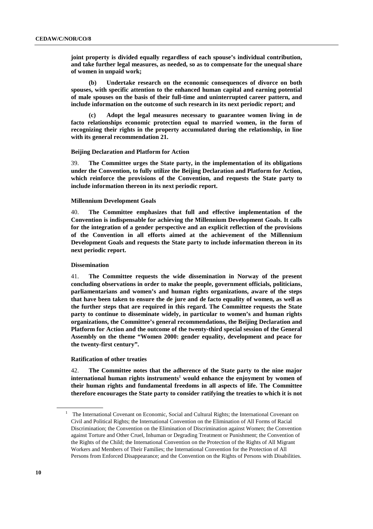**joint property is divided equally regardless of each spouse's individual contribution, and take further legal measures, as needed, so as to compensate for the unequal share of women in unpaid work;** 

**(b) Undertake research on the economic consequences of divorce on both spouses, with specific attention to the enhanced human capital and earning potential of male spouses on the basis of their full-time and uninterrupted career pattern, and include information on the outcome of such research in its next periodic report; and** 

**(c) Adopt the legal measures necessary to guarantee women living in de facto relationships economic protection equal to married women, in the form of recognizing their rights in the property accumulated during the relationship, in line with its general recommendation 21.** 

#### **Beijing Declaration and Platform for Action**

39. **The Committee urges the State party, in the implementation of its obligations under the Convention, to fully utilize the Beijing Declaration and Platform for Action, which reinforce the provisions of the Convention, and requests the State party to include information thereon in its next periodic report.** 

#### **Millennium Development Goals**

40. **The Committee emphasizes that full and effective implementation of the Convention is indispensable for achieving the Millennium Development Goals. It calls for the integration of a gender perspective and an explicit reflection of the provisions of the Convention in all efforts aimed at the achievement of the Millennium Development Goals and requests the State party to include information thereon in its next periodic report.** 

#### **Dissemination**

41. **The Committee requests the wide dissemination in Norway of the present concluding observations in order to make the people, government officials, politicians, parliamentarians and women's and human rights organizations, aware of the steps that have been taken to ensure the de jure and de facto equality of women, as well as the further steps that are required in this regard. The Committee requests the State party to continue to disseminate widely, in particular to women's and human rights organizations, the Committee's general recommendations, the Beijing Declaration and Platform for Action and the outcome of the twenty-third special session of the General Assembly on the theme "Women 2000: gender equality, development and peace for the twenty-first century".** 

#### **Ratification of other treaties**

42. **The Committee notes that the adherence of the State party to the nine major international human rights instruments<sup>1</sup> would enhance the enjoyment by women of their human rights and fundamental freedoms in all aspects of life. The Committee therefore encourages the State party to consider ratifying the treaties to which it is not** 

 $\overline{a}$ 

<sup>1</sup> The International Covenant on Economic, Social and Cultural Rights; the International Covenant on Civil and Political Rights; the International Convention on the Elimination of All Forms of Racial Discrimination; the Convention on the Elimination of Discrimination against Women; the Convention against Torture and Other Cruel, Inhuman or Degrading Treatment or Punishment; the Convention of the Rights of the Child; the International Convention on the Protection of the Rights of All Migrant Workers and Members of Their Families; the International Convention for the Protection of All Persons from Enforced Disappearance; and the Convention on the Rights of Persons with Disabilities.